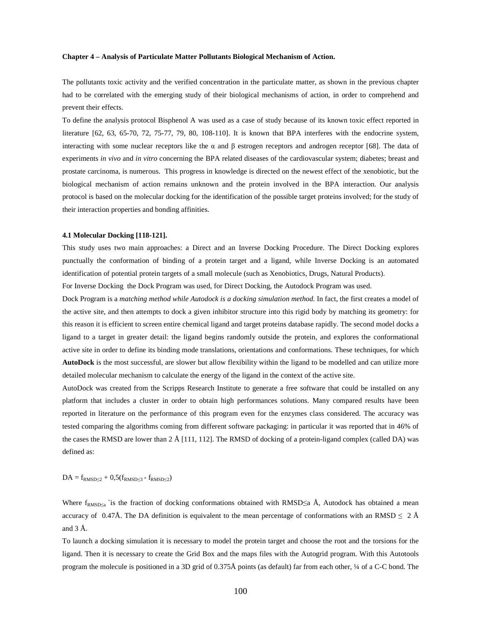# **Chapter 4 – Analysis of Particulate Matter Pollutants Biological Mechanism of Action.**

The pollutants toxic activity and the verified concentration in the particulate matter, as shown in the previous chapter had to be correlated with the emerging study of their biological mechanisms of action, in order to comprehend and prevent their effects.

To define the analysis protocol Bisphenol A was used as a case of study because of its known toxic effect reported in literature [62, 63, 65-70, 72, 75-77, 79, 80, 108-110]. It is known that BPA interferes with the endocrine system, interacting with some nuclear receptors like the α and β estrogen receptors and androgen receptor [68]. The data of experiments *in vivo* and *in vitro* concerning the BPA related diseases of the cardiovascular system; diabetes; breast and prostate carcinoma, is numerous. This progress in knowledge is directed on the newest effect of the xenobiotic, but the biological mechanism of action remains unknown and the protein involved in the BPA interaction. Our analysis protocol is based on the molecular docking for the identification of the possible target proteins involved; for the study of their interaction properties and bonding affinities.

#### **4.1 Molecular Docking [118-121].**

This study uses two main approaches: a Direct and an Inverse Docking Procedure. The Direct Docking explores punctually the conformation of binding of a protein target and a ligand, while Inverse Docking is an automated identification of potential protein targets of a small molecule (such as Xenobiotics, Drugs, Natural Products).

For Inverse Docking the Dock Program was used, for Direct Docking, the Autodock Program was used.

Dock Program is a *matching method while Autodock is a docking simulation method*. In fact, the first creates a model of the active site, and then attempts to dock a given inhibitor structure into this rigid body by matching its geometry: for this reason it is efficient to screen entire chemical ligand and target proteins database rapidly. The second model docks a ligand to a target in greater detail: the ligand begins randomly outside the protein, and explores the conformational active site in order to define its binding mode translations, orientations and conformations. These techniques, for which **AutoDock** is the most successful, are slower but allow flexibility within the ligand to be modelled and can utilize more detailed molecular mechanism to calculate the energy of the ligand in the context of the active site.

AutoDock was created from the Scripps Research Institute to generate a free software that could be installed on any platform that includes a cluster in order to obtain high performances solutions. Many compared results have been reported in literature on the performance of this program even for the enzymes class considered. The accuracy was tested comparing the algorithms coming from different software packaging: in particular it was reported that in 46% of the cases the RMSD are lower than 2 Å [111, 112]. The RMSD of docking of a protein-ligand complex (called DA) was defined as:

 $DA = f_{RMSD \leq 2} + 0.5(f_{RMSD \leq 3} - f_{RMSD \leq 2})$ 

Where  $f_{RMSD\leq a}$  is the fraction of docking conformations obtained with RMSD $\leq a$  Å, Autodock has obtained a mean accuracy of 0.47Å. The DA definition is equivalent to the mean percentage of conformations with an RMSD  $\leq 2 \text{ Å}$ and 3 Å.

To launch a docking simulation it is necessary to model the protein target and choose the root and the torsions for the ligand. Then it is necessary to create the Grid Box and the maps files with the Autogrid program. With this Autotools program the molecule is positioned in a 3D grid of 0.375Å points (as default) far from each other, ¼ of a C-C bond. The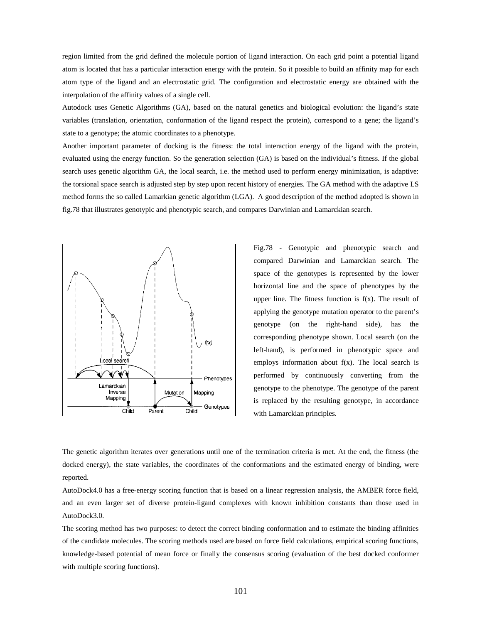region limited from the grid defined the molecule portion of ligand interaction. On each grid point a potential ligand atom is located that has a particular interaction energy with the protein. So it possible to build an affinity map for each atom type of the ligand and an electrostatic grid. The configuration and electrostatic energy are obtained with the interpolation of the affinity values of a single cell.

Autodock uses Genetic Algorithms (GA), based on the natural genetics and biological evolution: the ligand's state variables (translation, orientation, conformation of the ligand respect the protein), correspond to a gene; the ligand's state to a genotype; the atomic coordinates to a phenotype.

Another important parameter of docking is the fitness: the total interaction energy of the ligand with the protein, evaluated using the energy function. So the generation selection (GA) is based on the individual's fitness. If the global search uses genetic algorithm GA, the local search, i.e. the method used to perform energy minimization, is adaptive: the torsional space search is adjusted step by step upon recent history of energies. The GA method with the adaptive LS method forms the so called Lamarkian genetic algorithm (LGA). A good description of the method adopted is shown in fig.78 that illustrates genotypic and phenotypic search, and compares Darwinian and Lamarckian search.



Fig.78 - Genotypic and phenotypic search and compared Darwinian and Lamarckian search. The space of the genotypes is represented by the lower horizontal line and the space of phenotypes by the upper line. The fitness function is  $f(x)$ . The result of applying the genotype mutation operator to the parent's genotype (on the right-hand side), has the corresponding phenotype shown. Local search (on the left-hand), is performed in phenotypic space and employs information about  $f(x)$ . The local search is performed by continuously converting from the genotype to the phenotype. The genotype of the parent is replaced by the resulting genotype, in accordance with Lamarckian principles.

The genetic algorithm iterates over generations until one of the termination criteria is met. At the end, the fitness (the docked energy), the state variables, the coordinates of the conformations and the estimated energy of binding, were reported.

AutoDock4.0 has a free-energy scoring function that is based on a linear regression analysis, the AMBER force field, and an even larger set of diverse protein-ligand complexes with known inhibition constants than those used in AutoDock3.0.

The scoring method has two purposes: to detect the correct binding conformation and to estimate the binding affinities of the candidate molecules. The scoring methods used are based on force field calculations, empirical scoring functions, knowledge-based potential of mean force or finally the consensus scoring (evaluation of the best docked conformer with multiple scoring functions).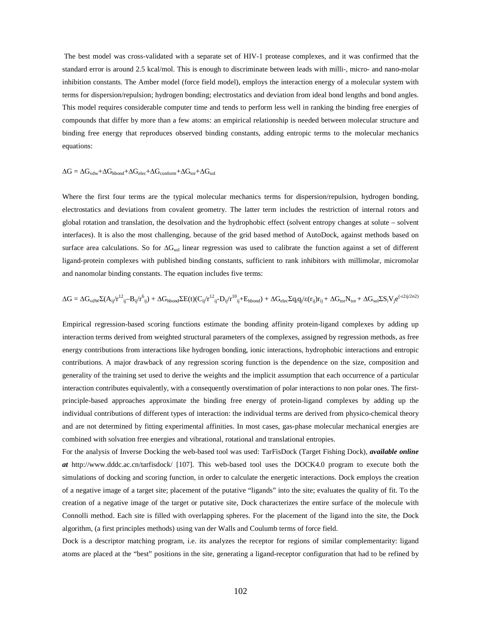The best model was cross-validated with a separate set of HIV-1 protease complexes, and it was confirmed that the standard error is around 2.5 kcal/mol. This is enough to discriminate between leads with milli-, micro- and nano-molar inhibition constants. The Amber model (force field model), employs the interaction energy of a molecular system with terms for dispersion/repulsion; hydrogen bonding; electrostatics and deviation from ideal bond lengths and bond angles. This model requires considerable computer time and tends to perform less well in ranking the binding free energies of compounds that differ by more than a few atoms: an empirical relationship is needed between molecular structure and binding free energy that reproduces observed binding constants, adding entropic terms to the molecular mechanics equations:

### $\Delta G = \Delta G_{vdw} + \Delta G_{hbond} + \Delta G_{elec} + \Delta G_{conform} + \Delta G_{tor} + \Delta G_{sol}$

Where the first four terms are the typical molecular mechanics terms for dispersion/repulsion, hydrogen bonding, electrostatics and deviations from covalent geometry. The latter term includes the restriction of internal rotors and global rotation and translation, the desolvation and the hydrophobic effect (solvent entropy changes at solute – solvent interfaces). It is also the most challenging, because of the grid based method of AutoDock, against methods based on surface area calculations. So for  $\Delta G_{sol}$  linear regression was used to calibrate the function against a set of different ligand-protein complexes with published binding constants, sufficient to rank inhibitors with millimolar, micromolar and nanomolar binding constants. The equation includes five terms:

$$
\Delta G = \Delta G_{vdW} \Sigma (A_{ij} / r^{12}_{\phantom{1}ij} - B_{ij} / r^6_{\phantom{1}ij}) + \Delta G_{hbond} \Sigma E(t) (C_{ij} / r^{12}_{\phantom{1}ij} - D_{ij} / r^{10}_{\phantom{1}ij} + E_{hbond}) + \Delta G_{elec} \Sigma q_i q_j / \epsilon (r_{ij}) r_{ij} + \Delta G_{tor} N_{tor} + \Delta G_{so} \Sigma S_i V_j e^{(-r2ij/2\sigma^2)} + \Delta G_{ub} \Sigma S_i V_j e^{(-r2ij/2\sigma^2)} + \Delta G_{ub} \Sigma S_i V_j e^{(-r2ij/2\sigma^2)} + \Delta G_{ub} \Sigma S_i V_j e^{(-r2ij/2\sigma^2)} + \Delta G_{ub} \Sigma S_i V_j e^{(-r2ij/2\sigma^2)} + \Delta G_{ub} \Sigma S_i V_j e^{(-r2ij/2\sigma^2)} + \Delta G_{ub} \Sigma S_i V_j e^{(-r2ij/2\sigma^2)} + \Delta G_{ub} \Sigma S_i V_j e^{(-r2ij/2\sigma^2)} + \Delta G_{ub} \Sigma S_i V_j e^{(-r2ij/2\sigma^2)} + \Delta G_{ub} \Sigma S_i V_j e^{(-r2ij/2\sigma^2)} + \Delta G_{ub} \Sigma S_i V_j e^{(-r2ij/2\sigma^2)} + \Delta G_{ub} \Sigma S_i V_j e^{(-r2ij/2\sigma^2)} + \Delta G_{ub} \Sigma S_i V_j e^{(-r2ij/2\sigma^2)} + \Delta G_{ub} \Sigma S_i V_j e^{(-r2ij/2\sigma^2)} + \Delta G_{ub} \Sigma S_i V_j e^{(-r2ij/2\sigma^2)} + \Delta G_{ub} \Sigma S_i V_j e^{(-r2ij/2\sigma^2)} + \Delta G_{ub} \Sigma S_i V_j e^{(-r2ij/2\sigma^2)} + \Delta G_{ub} \Sigma S_i V_j e^{(-r2ij/2\sigma^2)} + \Delta G_{ub} \Sigma S_i V_j e^{(-r2ij/2\sigma^2)} + \Delta G_{ub} \Sigma S_i V_j e^{(-r2ij/2\sigma^2)} + \Delta G_{ub} \Sigma S_i V_j e^{(-r2ij/2\sigma^2)} + \Delta G_{ub} \Sigma S_i V_j e^{(-r2ij/2\sigma^2)} + \Delta G_{ub} \Sigma S_i V_j e^{(-r2ij/2\sigma^2)} + \Delta G_{ub} \Sigma S_i V_j e^{(-r2
$$

Empirical regression-based scoring functions estimate the bonding affinity protein-ligand complexes by adding up interaction terms derived from weighted structural parameters of the complexes, assigned by regression methods, as free energy contributions from interactions like hydrogen bonding, ionic interactions, hydrophobic interactions and entropic contributions. A major drawback of any regression scoring function is the dependence on the size, composition and generality of the training set used to derive the weights and the implicit assumption that each occurrence of a particular interaction contributes equivalently, with a consequently overstimation of polar interactions to non polar ones. The firstprinciple-based approaches approximate the binding free energy of protein-ligand complexes by adding up the individual contributions of different types of interaction: the individual terms are derived from physico-chemical theory and are not determined by fitting experimental affinities. In most cases, gas-phase molecular mechanical energies are combined with solvation free energies and vibrational, rotational and translational entropies.

For the analysis of Inverse Docking the web-based tool was used: TarFisDock (Target Fishing Dock), *available online at* http://www.dddc.ac.cn/tarfisdock/ [107]. This web-based tool uses the DOCK4.0 program to execute both the simulations of docking and scoring function, in order to calculate the energetic interactions. Dock employs the creation of a negative image of a target site; placement of the putative "ligands" into the site; evaluates the quality of fit. To the creation of a negative image of the target or putative site, Dock characterizes the entire surface of the molecule with Connolli method. Each site is filled with overlapping spheres. For the placement of the ligand into the site, the Dock algorithm, (a first principles methods) using van der Walls and Coulumb terms of force field.

Dock is a descriptor matching program, i.e. its analyzes the receptor for regions of similar complementarity: ligand atoms are placed at the "best" positions in the site, generating a ligand-receptor configuration that had to be refined by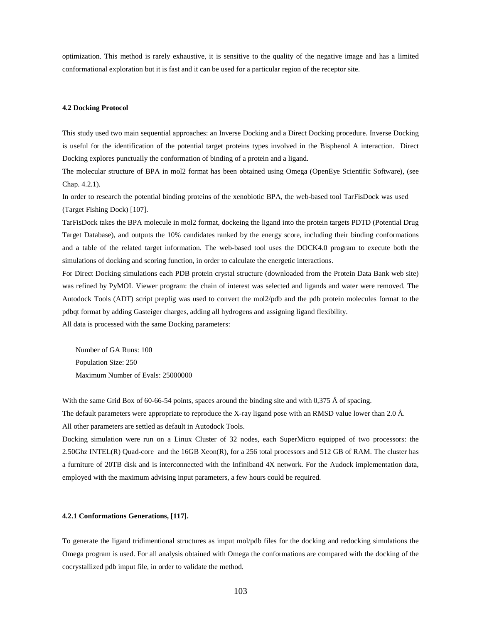optimization. This method is rarely exhaustive, it is sensitive to the quality of the negative image and has a limited conformational exploration but it is fast and it can be used for a particular region of the receptor site.

## **4.2 Docking Protocol**

This study used two main sequential approaches: an Inverse Docking and a Direct Docking procedure. Inverse Docking is useful for the identification of the potential target proteins types involved in the Bisphenol A interaction. Direct Docking explores punctually the conformation of binding of a protein and a ligand.

The molecular structure of BPA in mol2 format has been obtained using Omega (OpenEye Scientific Software), (see Chap. 4.2.1).

In order to research the potential binding proteins of the xenobiotic BPA, the web-based tool TarFisDock was used (Target Fishing Dock) [107].

TarFisDock takes the BPA molecule in mol2 format, dockeing the ligand into the protein targets PDTD (Potential Drug Target Database), and outputs the 10% candidates ranked by the energy score, including their binding conformations and a table of the related target information. The web-based tool uses the DOCK4.0 program to execute both the simulations of docking and scoring function, in order to calculate the energetic interactions.

For Direct Docking simulations each PDB protein crystal structure (downloaded from the Protein Data Bank web site) was refined by PyMOL Viewer program: the chain of interest was selected and ligands and water were removed. The Autodock Tools (ADT) script preplig was used to convert the mol2/pdb and the pdb protein molecules format to the pdbqt format by adding Gasteiger charges, adding all hydrogens and assigning ligand flexibility.

All data is processed with the same Docking parameters:

Number of GA Runs: 100 Population Size: 250 Maximum Number of Evals: 25000000

With the same Grid Box of 60-66-54 points, spaces around the binding site and with 0,375 Å of spacing. The default parameters were appropriate to reproduce the X-ray ligand pose with an RMSD value lower than 2.0 Å. All other parameters are settled as default in Autodock Tools.

Docking simulation were run on a Linux Cluster of 32 nodes, each SuperMicro equipped of two processors: the 2.50Ghz INTEL(R) Quad-core and the 16GB Xeon(R), for a 256 total processors and 512 GB of RAM. The cluster has a furniture of 20TB disk and is interconnected with the Infiniband 4X network. For the Audock implementation data, employed with the maximum advising input parameters, a few hours could be required.

### **4.2.1 Conformations Generations, [117].**

To generate the ligand tridimentional structures as imput mol/pdb files for the docking and redocking simulations the Omega program is used. For all analysis obtained with Omega the conformations are compared with the docking of the cocrystallized pdb imput file, in order to validate the method.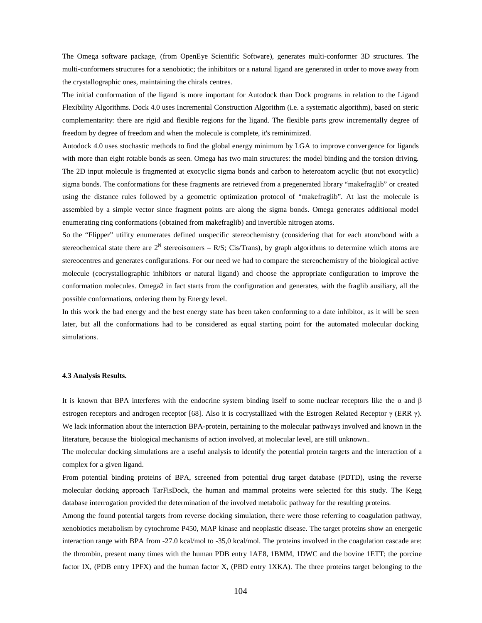The Omega software package, (from OpenEye Scientific Software), generates multi-conformer 3D structures. The multi-conformers structures for a xenobiotic; the inhibitors or a natural ligand are generated in order to move away from the crystallographic ones, maintaining the chirals centres.

The initial conformation of the ligand is more important for Autodock than Dock programs in relation to the Ligand Flexibility Algorithms. Dock 4.0 uses Incremental Construction Algorithm (i.e. a systematic algorithm), based on steric complementarity: there are rigid and flexible regions for the ligand. The flexible parts grow incrementally degree of freedom by degree of freedom and when the molecule is complete, it's reminimized.

Autodock 4.0 uses stochastic methods to find the global energy minimum by LGA to improve convergence for ligands with more than eight rotable bonds as seen. Omega has two main structures: the model binding and the torsion driving. The 2D input molecule is fragmented at exocyclic sigma bonds and carbon to heteroatom acyclic (but not exocyclic) sigma bonds. The conformations for these fragments are retrieved from a pregenerated library "makefraglib" or created using the distance rules followed by a geometric optimization protocol of "makefraglib". At last the molecule is assembled by a simple vector since fragment points are along the sigma bonds. Omega generates additional model enumerating ring conformations (obtained from makefraglib) and invertible nitrogen atoms.

So the "Flipper" utility enumerates defined unspecific stereochemistry (considering that for each atom/bond with a stereochemical state there are  $2^N$  stereoisomers – R/S; Cis/Trans), by graph algorithms to determine which atoms are stereocentres and generates configurations. For our need we had to compare the stereochemistry of the biological active molecule (cocrystallographic inhibitors or natural ligand) and choose the appropriate configuration to improve the conformation molecules. Omega2 in fact starts from the configuration and generates, with the fraglib ausiliary, all the possible conformations, ordering them by Energy level.

In this work the bad energy and the best energy state has been taken conforming to a date inhibitor, as it will be seen later, but all the conformations had to be considered as equal starting point for the automated molecular docking simulations.

## **4.3 Analysis Results.**

It is known that BPA interferes with the endocrine system binding itself to some nuclear receptors like the  $\alpha$  and  $\beta$ estrogen receptors and androgen receptor [68]. Also it is cocrystallized with the Estrogen Related Receptor  $γ$  (ERR  $γ$ ). We lack information about the interaction BPA-protein, pertaining to the molecular pathways involved and known in the literature, because the biological mechanisms of action involved, at molecular level, are still unknown..

The molecular docking simulations are a useful analysis to identify the potential protein targets and the interaction of a complex for a given ligand.

From potential binding proteins of BPA, screened from potential drug target database (PDTD), using the reverse molecular docking approach TarFisDock, the human and mammal proteins were selected for this study. The Kegg database interrogation provided the determination of the involved metabolic pathway for the resulting proteins.

Among the found potential targets from reverse docking simulation, there were those referring to coagulation pathway, xenobiotics metabolism by cytochrome P450, MAP kinase and neoplastic disease. The target proteins show an energetic interaction range with BPA from -27.0 kcal/mol to -35,0 kcal/mol. The proteins involved in the coagulation cascade are: the thrombin, present many times with the human PDB entry 1AE8, 1BMM, 1DWC and the bovine 1ETT; the porcine factor IX, (PDB entry 1PFX) and the human factor X, (PBD entry 1XKA). The three proteins target belonging to the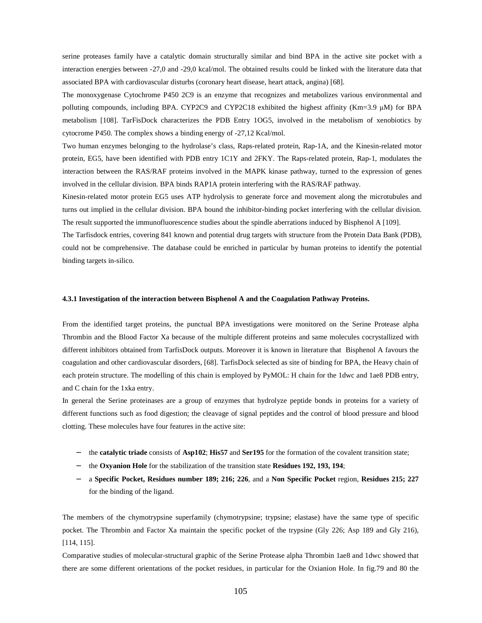serine proteases family have a catalytic domain structurally similar and bind BPA in the active site pocket with a interaction energies between -27,0 and -29,0 kcal/mol. The obtained results could be linked with the literature data that associated BPA with cardiovascular disturbs (coronary heart disease, heart attack, angina) [68].

The monoxygenase Cytochrome P450 2C9 is an enzyme that recognizes and metabolizes various environmental and polluting compounds, including BPA. CYP2C9 and CYP2C18 exhibited the highest affinity (Km=3.9 µM) for BPA metabolism [108]. TarFisDock characterizes the PDB Entry 1OG5, involved in the metabolism of xenobiotics by cytocrome P450. The complex shows a binding energy of -27,12 Kcal/mol.

Two human enzymes belonging to the hydrolase's class, Raps-related protein, Rap-1A, and the Kinesin-related motor protein, EG5, have been identified with PDB entry 1C1Y and 2FKY. The Raps-related protein, Rap-1, modulates the interaction between the RAS/RAF proteins involved in the MAPK kinase pathway, turned to the expression of genes involved in the cellular division. BPA binds RAP1A protein interfering with the RAS/RAF pathway.

Kinesin-related motor protein EG5 uses ATP hydrolysis to generate force and movement along the microtubules and turns out implied in the cellular division. BPA bound the inhibitor-binding pocket interfering with the cellular division. The result supported the immunofluorescence studies about the spindle aberrations induced by Bisphenol A [109].

The Tarfisdock entries, covering 841 known and potential drug targets with structure from the Protein Data Bank (PDB), could not be comprehensive. The database could be enriched in particular by human proteins to identify the potential binding targets in-silico.

### **4.3.1 Investigation of the interaction between Bisphenol A and the Coagulation Pathway Proteins.**

From the identified target proteins, the punctual BPA investigations were monitored on the Serine Protease alpha Thrombin and the Blood Factor Xa because of the multiple different proteins and same molecules cocrystallized with different inhibitors obtained from TarfisDock outputs. Moreover it is known in literature that Bisphenol A favours the coagulation and other cardiovascular disorders, [68]. TarfisDock selected as site of binding for BPA, the Heavy chain of each protein structure. The modelling of this chain is employed by PyMOL: H chain for the 1dwc and 1ae8 PDB entry, and C chain for the 1xka entry.

In general the Serine proteinases are a group of enzymes that hydrolyze peptide bonds in proteins for a variety of different functions such as food digestion; the cleavage of signal peptides and the control of blood pressure and blood clotting. These molecules have four features in the active site:

- − the **catalytic triade** consists of **Asp102**; **His57** and **Ser195** for the formation of the covalent transition state;
- − the **Oxyanion Hole** for the stabilization of the transition state **Residues 192, 193, 194**;
- − a **Specific Pocket, Residues number 189; 216; 226**, and a **Non Specific Pocket** region, **Residues 215; 227**  for the binding of the ligand.

The members of the chymotrypsine superfamily (chymotrypsine; trypsine; elastase) have the same type of specific pocket. The Thrombin and Factor Xa maintain the specific pocket of the trypsine (Gly 226; Asp 189 and Gly 216), [114, 115].

Comparative studies of molecular-structural graphic of the Serine Protease alpha Thrombin 1ae8 and 1dwc showed that there are some different orientations of the pocket residues, in particular for the Oxianion Hole. In fig.79 and 80 the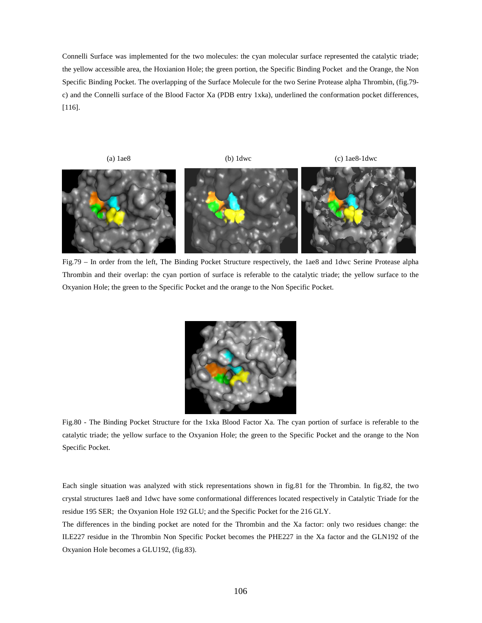Connelli Surface was implemented for the two molecules: the cyan molecular surface represented the catalytic triade; the yellow accessible area, the Hoxianion Hole; the green portion, the Specific Binding Pocket and the Orange, the Non Specific Binding Pocket. The overlapping of the Surface Molecule for the two Serine Protease alpha Thrombin, (fig.79 c) and the Connelli surface of the Blood Factor Xa (PDB entry 1xka), underlined the conformation pocket differences, [116].



Fig.79 – In order from the left, The Binding Pocket Structure respectively, the 1ae8 and 1dwc Serine Protease alpha Thrombin and their overlap: the cyan portion of surface is referable to the catalytic triade; the yellow surface to the Oxyanion Hole; the green to the Specific Pocket and the orange to the Non Specific Pocket.



Fig.80 - The Binding Pocket Structure for the 1xka Blood Factor Xa. The cyan portion of surface is referable to the catalytic triade; the yellow surface to the Oxyanion Hole; the green to the Specific Pocket and the orange to the Non Specific Pocket.

Each single situation was analyzed with stick representations shown in fig.81 for the Thrombin. In fig.82, the two crystal structures 1ae8 and 1dwc have some conformational differences located respectively in Catalytic Triade for the residue 195 SER; the Oxyanion Hole 192 GLU; and the Specific Pocket for the 216 GLY.

The differences in the binding pocket are noted for the Thrombin and the Xa factor: only two residues change: the ILE227 residue in the Thrombin Non Specific Pocket becomes the PHE227 in the Xa factor and the GLN192 of the Oxyanion Hole becomes a GLU192, (fig.83).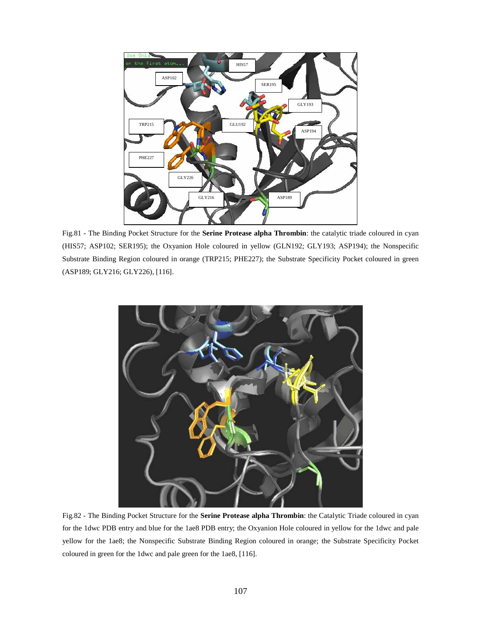

Fig.81 - The Binding Pocket Structure for the **Serine Protease alpha Thrombin**: the catalytic triade coloured in cyan (HIS57; ASP102; SER195); the Oxyanion Hole coloured in yellow (GLN192; GLY193; ASP194); the Nonspecific Substrate Binding Region coloured in orange (TRP215; PHE227); the Substrate Specificity Pocket coloured in green (ASP189; GLY216; GLY226), [116].



Fig.82 - The Binding Pocket Structure for the **Serine Protease alpha Thrombin**: the Catalytic Triade coloured in cyan for the 1dwc PDB entry and blue for the 1ae8 PDB entry; the Oxyanion Hole coloured in yellow for the 1dwc and pale yellow for the 1ae8; the Nonspecific Substrate Binding Region coloured in orange; the Substrate Specificity Pocket coloured in green for the 1dwc and pale green for the 1ae8, [116].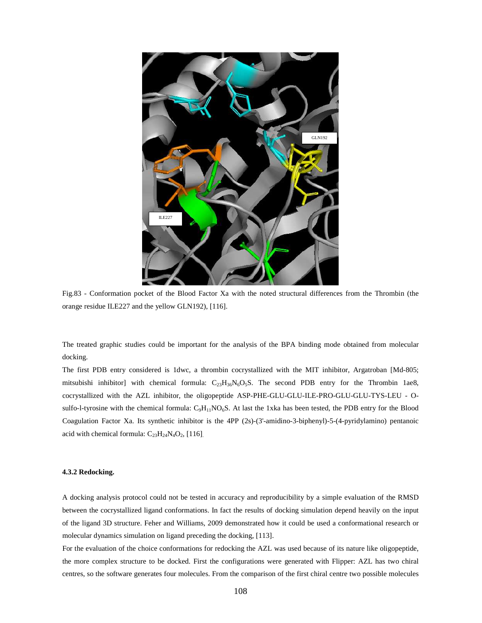

Fig.83 - Conformation pocket of the Blood Factor Xa with the noted structural differences from the Thrombin (the orange residue ILE227 and the yellow GLN192), [116].

The treated graphic studies could be important for the analysis of the BPA binding mode obtained from molecular docking.

The first PDB entry considered is 1dwc, a thrombin cocrystallized with the MIT inhibitor, Argatroban [Md-805; mitsubishi inhibitor] with chemical formula:  $C_{23}H_{36}N_6O_5S$ . The second PDB entry for the Thrombin 1ae8, cocrystallized with the AZL inhibitor, the oligopeptide ASP-PHE-GLU-GLU-ILE-PRO-GLU-GLU-TYS-LEU - Osulfo-l-tyrosine with the chemical formula:  $C_9H_{11}NO_6S$ . At last the 1xka has been tested, the PDB entry for the Blood Coagulation Factor Xa. Its synthetic inhibitor is the 4PP (2s)-(3'-amidino-3-biphenyl)-5-(4-pyridylamino) pentanoic acid with chemical formula:  $C_{23}H_{24}N_4O_2$ , [116].

# **4.3.2 Redocking.**

A docking analysis protocol could not be tested in accuracy and reproducibility by a simple evaluation of the RMSD between the cocrystallized ligand conformations. In fact the results of docking simulation depend heavily on the input of the ligand 3D structure. Feher and Williams, 2009 demonstrated how it could be used a conformational research or molecular dynamics simulation on ligand preceding the docking, [113].

For the evaluation of the choice conformations for redocking the AZL was used because of its nature like oligopeptide, the more complex structure to be docked. First the configurations were generated with Flipper: AZL has two chiral centres, so the software generates four molecules. From the comparison of the first chiral centre two possible molecules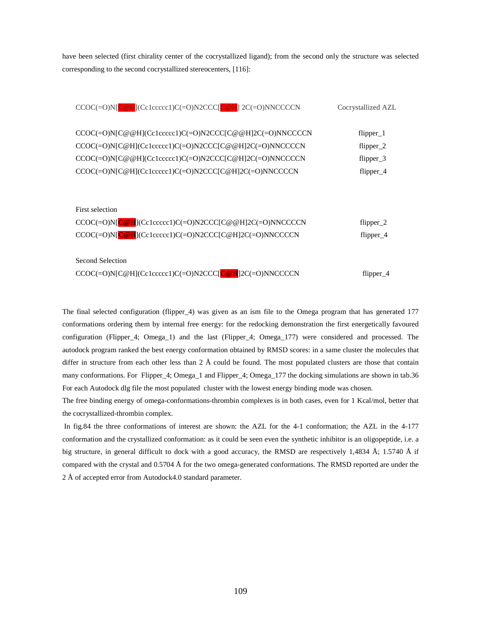have been selected (first chirality center of the cocrystallized ligand); from the second only the structure was selected corresponding to the second cocrystallized stereocenters, [116]:

| $CCOC(=O)N[C@H] (Cc1cccccc1)C(=O)N2CCC[C@H] 2C(=O)NNCCCCN$                                                                                                                                                                                 | Cocrystallized AZL                                   |
|--------------------------------------------------------------------------------------------------------------------------------------------------------------------------------------------------------------------------------------------|------------------------------------------------------|
| $CCOC(=O)N[$ C@@H](Cc1ccccc1)C(=O)N2CCC[C@@H]2C(=O)NNCCCCN<br>$CCOC(=O)N[COH](Cc1cccccc1)C(=O)N2CCC[CO@H]2C(=O)NNCCCCN$<br>CCOC(=O)N[C@@H](Cc1ccccc1)C(=O)N2CCC[C@H]2C(=O)NNCCCCN<br>CCOC(=O)N[C@H](Cc1ccccc1)C(=O)N2CCC[C@H]2C(=O)NNCCCCN | $flipper_1$<br>$flipper_2$<br>flipper_3<br>flipper_4 |
| First selection                                                                                                                                                                                                                            |                                                      |
| $CCOC(=O)N[C@H] (Cc1cccccc1)C(=O)N2CCC[C@H]2C(=O)NNCCCCN$<br>$CCOC(=O)N[C@H] (Cc1cccccc1)C(=O)N2CCC[C@H]2C(=O)NNCCCCN$                                                                                                                     | flipper $2$<br>$flipper_4$                           |
| Second Selection<br>CCOC(=O)N[C@H](Cc1ccccc1)C(=O)N2CCC[C@H]2C(=O)NNCCCCN                                                                                                                                                                  | flipper $4$                                          |

The final selected configuration (flipper\_4) was given as an ism file to the Omega program that has generated 177 conformations ordering them by internal free energy: for the redocking demonstration the first energetically favoured configuration (Flipper\_4; Omega\_1) and the last (Flipper\_4; Omega\_177) were considered and processed. The autodock program ranked the best energy conformation obtained by RMSD scores: in a same cluster the molecules that differ in structure from each other less than 2 Å could be found. The most populated clusters are those that contain many conformations. For Flipper\_4; Omega\_1 and Flipper\_4; Omega\_177 the docking simulations are shown in tab.36 For each Autodock dlg file the most populated cluster with the lowest energy binding mode was chosen.

The free binding energy of omega-conformations-thrombin complexes is in both cases, even for 1 Kcal/mol, better that the cocrystallized-thrombin complex.

 In fig.84 the three conformations of interest are shown: the AZL for the 4-1 conformation; the AZL in the 4-177 conformation and the crystallized conformation: as it could be seen even the synthetic inhibitor is an oligopeptide, i.e. a big structure, in general difficult to dock with a good accuracy, the RMSD are respectively 1,4834 Å; 1.5740 Å if compared with the crystal and 0.5704 Å for the two omega-generated conformations. The RMSD reported are under the 2 Å of accepted error from Autodock4.0 standard parameter.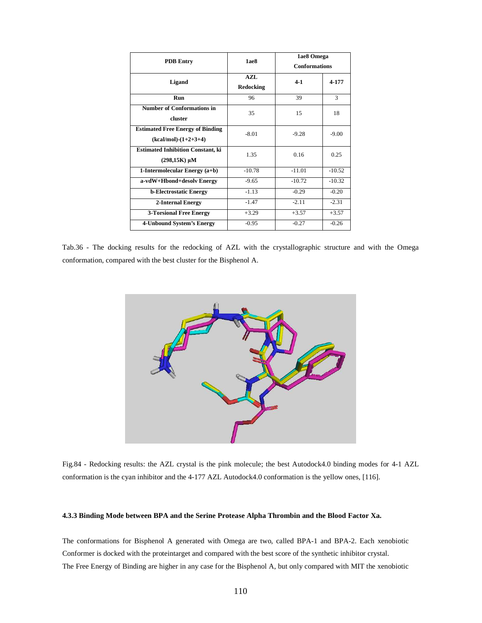|                                          | 1ae8                 | 1ae8 Omega           |          |  |
|------------------------------------------|----------------------|----------------------|----------|--|
| <b>PDB</b> Entry                         |                      | <b>Conformations</b> |          |  |
| Ligand                                   | $AZI$ .<br>Redocking | $4-1$                | 4-177    |  |
| Run                                      | 96                   | 39                   | 3        |  |
| <b>Number of Conformations in</b>        | 35                   | 15                   | 18       |  |
| cluster                                  |                      |                      |          |  |
| <b>Estimated Free Energy of Binding</b>  | $-8.01$              | $-9.28$              | $-9.00$  |  |
| $(kcal/mol)-(1+2+3+4)$                   |                      |                      |          |  |
| <b>Estimated Inhibition Constant, ki</b> | 1.35                 | 016                  | 0.25     |  |
| $(298,15K) \mu M$                        |                      |                      |          |  |
| 1-Intermolecular Energy (a+b)            | $-10.78$             | $-11.01$             | $-10.52$ |  |
| a-vdW+Hbond+desolv Energy                | $-9.65$              | $-10.72$             | $-10.32$ |  |
| <b>b-Electrostatic Energy</b>            | $-1.13$              | $-0.29$              | $-0.20$  |  |
| 2-Internal Energy                        | $-1.47$              | $-2.11$              | $-2.31$  |  |
| <b>3-Torsional Free Energy</b>           | $+3.29$              | $+3.57$              | $+3.57$  |  |
| 4-Unbound System's Energy                | $-0.95$              | $-0.27$              | $-0.26$  |  |

Tab.36 - The docking results for the redocking of AZL with the crystallographic structure and with the Omega conformation, compared with the best cluster for the Bisphenol A.



Fig.84 - Redocking results: the AZL crystal is the pink molecule; the best Autodock4.0 binding modes for 4-1 AZL conformation is the cyan inhibitor and the 4-177 AZL Autodock4.0 conformation is the yellow ones, [116].

# **4.3.3 Binding Mode between BPA and the Serine Protease Alpha Thrombin and the Blood Factor Xa.**

The conformations for Bisphenol A generated with Omega are two, called BPA-1 and BPA-2. Each xenobiotic Conformer is docked with the proteintarget and compared with the best score of the synthetic inhibitor crystal. The Free Energy of Binding are higher in any case for the Bisphenol A, but only compared with MIT the xenobiotic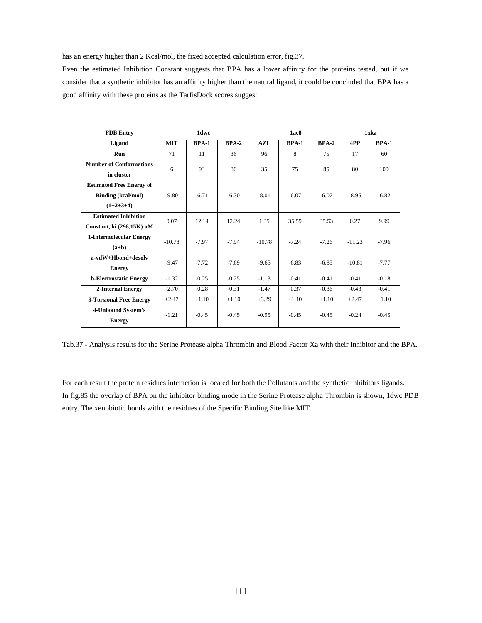has an energy higher than 2 Kcal/mol, the fixed accepted calculation error, fig.37.

Even the estimated Inhibition Constant suggests that BPA has a lower affinity for the proteins tested, but if we consider that a synthetic inhibitor has an affinity higher than the natural ligand, it could be concluded that BPA has a good affinity with these proteins as the TarfisDock scores suggest.

| <b>PDB</b> Entry                    | 1dwc       |              | 1ae8    |          |              | 1xka         |          |              |
|-------------------------------------|------------|--------------|---------|----------|--------------|--------------|----------|--------------|
| Ligand                              | <b>MIT</b> | <b>BPA-1</b> | $BPA-2$ | AZL      | <b>BPA-1</b> | <b>BPA-2</b> | 4PP      | <b>BPA-1</b> |
| <b>Run</b>                          | 71         | 11           | 36      | 96       | 8            | 75           | 17       | 60           |
| <b>Number of Conformations</b>      | 6          | 93           | 80      | 35       | 75           | 85           | 80       | 100          |
| in cluster                          |            |              |         |          |              |              |          |              |
| <b>Estimated Free Energy of</b>     |            |              |         |          |              |              |          |              |
| <b>Binding</b> (kcal/mol)           | $-9.80$    | $-6.71$      | $-6.70$ | $-8.01$  | $-6.07$      | $-6.07$      | $-8.95$  | $-6.82$      |
| $(1+2+3+4)$                         |            |              |         |          |              |              |          |              |
| <b>Estimated Inhibition</b>         | 0.07       | 12.14        | 12.24   | 1.35     | 35.59        | 35.53        | 0.27     | 9.99         |
| Constant, ki $(298,15K)$ µM         |            |              |         |          |              |              |          |              |
| <b>1-Intermolecular Energy</b>      | $-10.78$   | $-7.97$      | $-7.94$ | $-10.78$ | $-7.24$      | $-7.26$      | $-11.23$ | $-7.96$      |
| $(a+b)$                             |            |              |         |          |              |              |          |              |
| $a-vdW+Hbond+desolv$                | $-9.47$    | $-7.72$      | $-7.69$ | $-9.65$  | $-6.83$      | $-6.85$      | $-10.81$ | $-7.77$      |
| <b>Energy</b>                       |            |              |         |          |              |              |          |              |
| <b>b-Electrostatic Energy</b>       | $-1.32$    | $-0.25$      | $-0.25$ | $-1.13$  | $-0.41$      | $-0.41$      | $-0.41$  | $-0.18$      |
| 2-Internal Energy                   | $-2.70$    | $-0.28$      | $-0.31$ | $-1.47$  | $-0.37$      | $-0.36$      | $-0.43$  | $-0.41$      |
| <b>3-Torsional Free Energy</b>      | $+2.47$    | $+1.10$      | $+1.10$ | $+3.29$  | $+1.10$      | $+1.10$      | $+2.47$  | $+1.10$      |
| 4-Unbound System's<br><b>Energy</b> | $-1.21$    | $-0.45$      | $-0.45$ | $-0.95$  | $-0.45$      | $-0.45$      | $-0.24$  | $-0.45$      |

Tab.37 - Analysis results for the Serine Protease alpha Thrombin and Blood Factor Xa with their inhibitor and the BPA.

For each result the protein residues interaction is located for both the Pollutants and the synthetic inhibitors ligands. In fig.85 the overlap of BPA on the inhibitor binding mode in the Serine Protease alpha Thrombin is shown, 1dwc PDB entry. The xenobiotic bonds with the residues of the Specific Binding Site like MIT.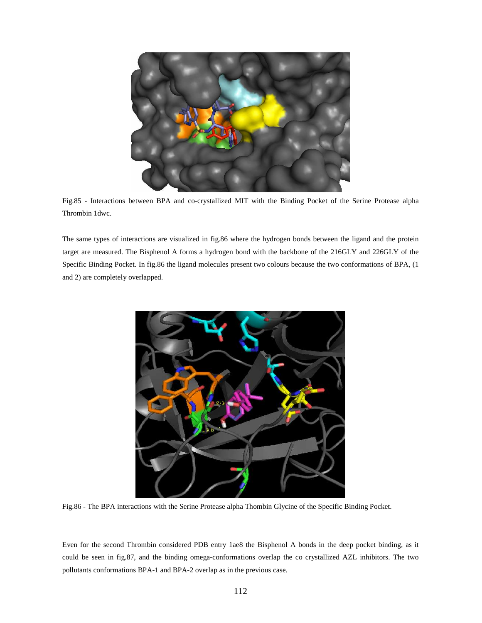

Fig.85 - Interactions between BPA and co-crystallized MIT with the Binding Pocket of the Serine Protease alpha Thrombin 1dwc.

The same types of interactions are visualized in fig.86 where the hydrogen bonds between the ligand and the protein target are measured. The Bisphenol A forms a hydrogen bond with the backbone of the 216GLY and 226GLY of the Specific Binding Pocket. In fig.86 the ligand molecules present two colours because the two conformations of BPA, (1 and 2) are completely overlapped.



Fig.86 - The BPA interactions with the Serine Protease alpha Thombin Glycine of the Specific Binding Pocket.

Even for the second Thrombin considered PDB entry 1ae8 the Bisphenol A bonds in the deep pocket binding, as it could be seen in fig.87, and the binding omega-conformations overlap the co crystallized AZL inhibitors. The two pollutants conformations BPA-1 and BPA-2 overlap as in the previous case.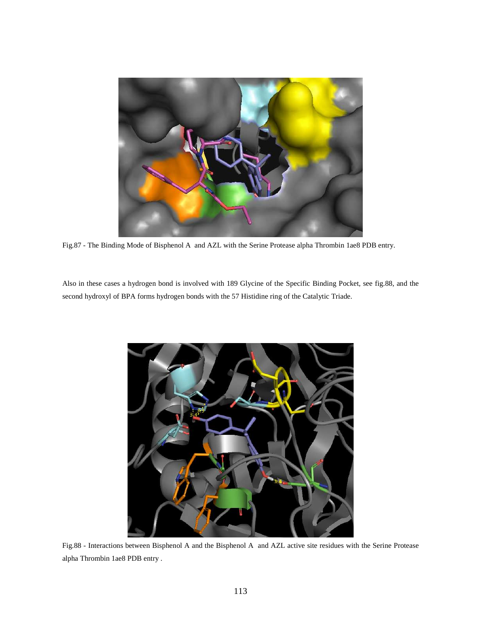

Fig.87 - The Binding Mode of Bisphenol A and AZL with the Serine Protease alpha Thrombin 1ae8 PDB entry.

Also in these cases a hydrogen bond is involved with 189 Glycine of the Specific Binding Pocket, see fig.88, and the second hydroxyl of BPA forms hydrogen bonds with the 57 Histidine ring of the Catalytic Triade.



Fig.88 - Interactions between Bisphenol A and the Bisphenol A and AZL active site residues with the Serine Protease alpha Thrombin 1ae8 PDB entry .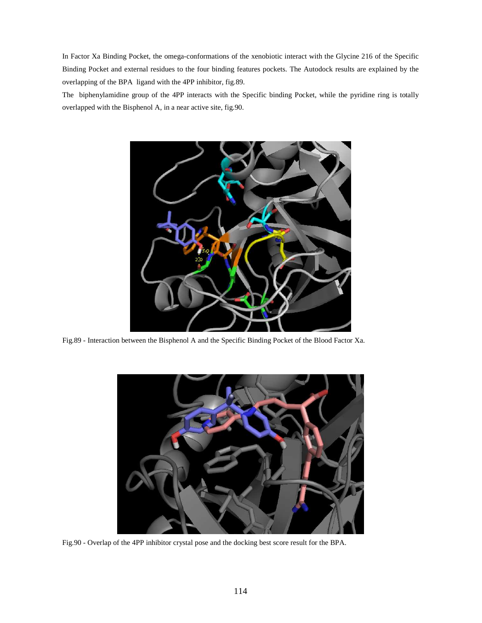In Factor Xa Binding Pocket, the omega-conformations of the xenobiotic interact with the Glycine 216 of the Specific Binding Pocket and external residues to the four binding features pockets. The Autodock results are explained by the overlapping of the BPA ligand with the 4PP inhibitor, fig.89.

The biphenylamidine group of the 4PP interacts with the Specific binding Pocket, while the pyridine ring is totally overlapped with the Bisphenol A, in a near active site, fig.90.



Fig.89 - Interaction between the Bisphenol A and the Specific Binding Pocket of the Blood Factor Xa.



Fig.90 - Overlap of the 4PP inhibitor crystal pose and the docking best score result for the BPA.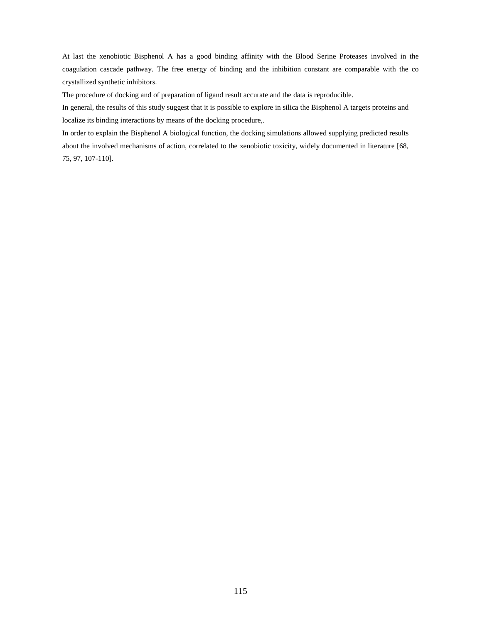At last the xenobiotic Bisphenol A has a good binding affinity with the Blood Serine Proteases involved in the coagulation cascade pathway. The free energy of binding and the inhibition constant are comparable with the co crystallized synthetic inhibitors.

The procedure of docking and of preparation of ligand result accurate and the data is reproducible.

In general, the results of this study suggest that it is possible to explore in silica the Bisphenol A targets proteins and localize its binding interactions by means of the docking procedure,.

In order to explain the Bisphenol A biological function, the docking simulations allowed supplying predicted results about the involved mechanisms of action, correlated to the xenobiotic toxicity, widely documented in literature [68, 75, 97, 107-110].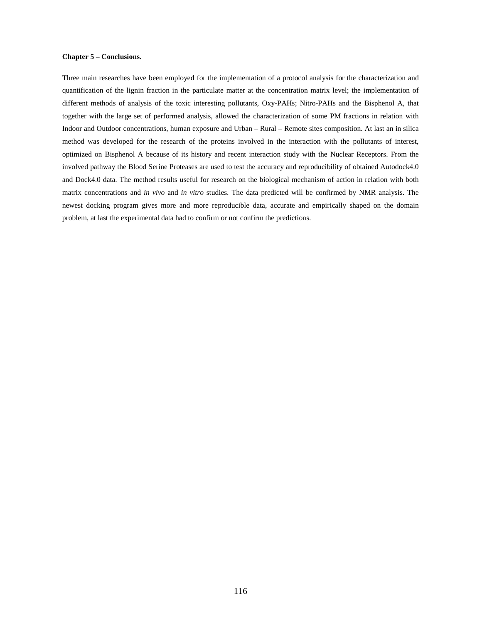### **Chapter 5 – Conclusions.**

Three main researches have been employed for the implementation of a protocol analysis for the characterization and quantification of the lignin fraction in the particulate matter at the concentration matrix level; the implementation of different methods of analysis of the toxic interesting pollutants, Oxy-PAHs; Nitro-PAHs and the Bisphenol A, that together with the large set of performed analysis, allowed the characterization of some PM fractions in relation with Indoor and Outdoor concentrations, human exposure and Urban – Rural – Remote sites composition. At last an in silica method was developed for the research of the proteins involved in the interaction with the pollutants of interest, optimized on Bisphenol A because of its history and recent interaction study with the Nuclear Receptors. From the involved pathway the Blood Serine Proteases are used to test the accuracy and reproducibility of obtained Autodock4.0 and Dock4.0 data. The method results useful for research on the biological mechanism of action in relation with both matrix concentrations and *in vivo* and *in vitro* studies. The data predicted will be confirmed by NMR analysis. The newest docking program gives more and more reproducible data, accurate and empirically shaped on the domain problem, at last the experimental data had to confirm or not confirm the predictions.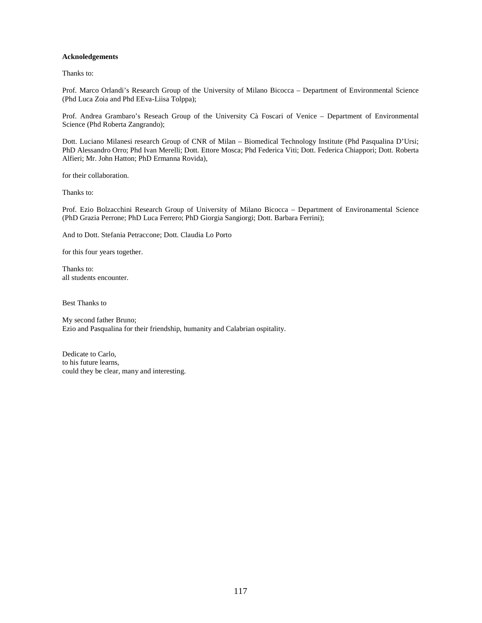# **Acknoledgements**

Thanks to:

Prof. Marco Orlandi's Research Group of the University of Milano Bicocca – Department of Environmental Science (Phd Luca Zoia and Phd EEva-Liisa Tolppa);

Prof. Andrea Grambaro's Reseach Group of the University Cà Foscari of Venice – Department of Environmental Science (Phd Roberta Zangrando);

Dott. Luciano Milanesi research Group of CNR of Milan – Biomedical Technology Institute (Phd Pasqualina D'Ursi; PhD Alessandro Orro; Phd Ivan Merelli; Dott. Ettore Mosca; Phd Federica Viti; Dott. Federica Chiappori; Dott. Roberta Alfieri; Mr. John Hatton; PhD Ermanna Rovida),

for their collaboration.

Thanks to:

Prof. Ezio Bolzacchini Research Group of University of Milano Bicocca – Department of Environamental Science (PhD Grazia Perrone; PhD Luca Ferrero; PhD Giorgia Sangiorgi; Dott. Barbara Ferrini);

And to Dott. Stefania Petraccone; Dott. Claudia Lo Porto

for this four years together.

Thanks to: all students encounter.

Best Thanks to

My second father Bruno; Ezio and Pasqualina for their friendship, humanity and Calabrian ospitality.

Dedicate to Carlo, to his future learns, could they be clear, many and interesting.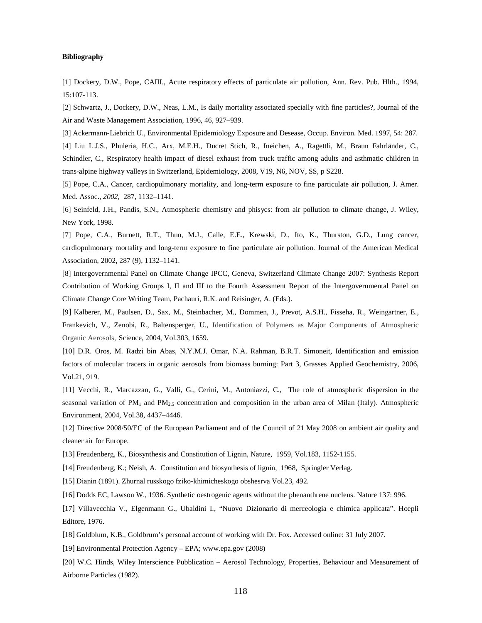# **Bibliography**

[1] Dockery, D.W., Pope, CAIII., Acute respiratory effects of particulate air pollution, Ann. Rev. Pub. Hlth., 1994, 15:107-113.

[2] Schwartz, J., Dockery, D.W., Neas, L.M., Is daily mortality associated specially with fine particles?, Journal of the Air and Waste Management Association, 1996, 46, 927–939.

[3] Ackermann-Liebrich U., Environmental Epidemiology Exposure and Desease, Occup. Environ. Med. 1997, 54: 287.

[4] Liu L.J.S., Phuleria, H.C., Arx, M.E.H., Ducret Stich, R., Ineichen, A., Ragettli, M., Braun Fahrländer, C., Schindler, C., Respiratory health impact of diesel exhaust from truck traffic among adults and asthmatic children in trans-alpine highway valleys in Switzerland, Epidemiology, 2008, V19, N6, NOV, SS, p S228.

[5] Pope, C.A., Cancer, cardiopulmonary mortality, and long-term exposure to fine particulate air pollution, J. Amer. Med. Assoc.*, 2002,* 287, 1132–1141.

[6] Seinfeld, J.H., Pandis, S.N., Atmospheric chemistry and phisycs: from air pollution to climate change, J. Wiley, New York, 1998.

[7] Pope, C.A., Burnett, R.T., Thun, M.J., Calle, E.E., Krewski, D., Ito, K., Thurston, G.D., Lung cancer, cardiopulmonary mortality and long-term exposure to fine particulate air pollution. Journal of the American Medical Association, 2002, 287 (9), 1132–1141.

[8] Intergovernmental Panel on Climate Change IPCC, Geneva, Switzerland Climate Change 2007: Synthesis Report Contribution of Working Groups I, II and III to the Fourth Assessment Report of the Intergovernmental Panel on Climate Change Core Writing Team, Pachauri, R.K. and Reisinger, A. (Eds.).

[9] Kalberer, M., Paulsen, D., Sax, M., Steinbacher, M., Dommen, J., Prevot, A.S.H., Fisseha, R., Weingartner, E., Frankevich, V., Zenobi, R., Baltensperger, U., Identification of Polymers as Major Components of Atmospheric Organic Aerosols, Science, 2004, Vol.303, 1659.

[10] D.R. Oros, M. Radzi bin Abas, N.Y.M.J. Omar, N.A. Rahman, B.R.T. Simoneit, Identification and emission factors of molecular tracers in organic aerosols from biomass burning: Part 3, Grasses Applied Geochemistry, 2006, Vol.21, 919.

[11] Vecchi, R., Marcazzan, G., Valli, G., Cerini, M., Antoniazzi, C., The role of atmospheric dispersion in the seasonal variation of  $PM_1$  and  $PM_{2.5}$  concentration and composition in the urban area of Milan (Italy). Atmospheric Environment, 2004, Vol.38, 4437–4446.

[12] Directive 2008/50/EC of the European Parliament and of the Council of 21 May 2008 on ambient air quality and cleaner air for Europe.

[13] Freudenberg, K., Biosynthesis and Constitution of Lignin, Nature, 1959, Vol.183, 1152-1155.

[14] Freudenberg, K.; Neish, A. Constitution and biosynthesis of lignin, 1968, Springler Verlag.

[15] Dianin (1891). Zhurnal russkogo fziko-khimicheskogo obshesrva Vol.23, 492.

[16] Dodds EC, Lawson W., 1936. Synthetic oestrogenic agents without the phenanthrene nucleus. Nature 137: 996.

[17] Villavecchia V., Elgenmann G., Ubaldini I., "Nuovo Dizionario di merceologia e chimica applicata". Hoepli Editore, 1976.

[18] Goldblum, K.B., Goldbrum's personal account of working with Dr. Fox. Accessed online: 31 July 2007.

[19] Environmental Protection Agency – EPA; www.epa.gov (2008)

[20] W.C. Hinds, Wiley Interscience Pubblication – Aerosol Technology, Properties, Behaviour and Measurement of Airborne Particles (1982).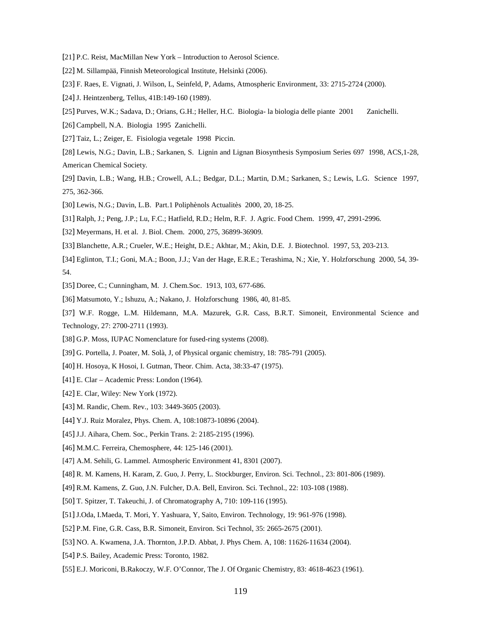- [21] P.C. Reist, MacMillan New York Introduction to Aerosol Science.
- [22] M. Sillampää, Finnish Meteorological Institute, Helsinki (2006).
- [23] F. Raes, E. Vignati, J. Wilson, L, Seinfeld, P, Adams, Atmospheric Environment, 33: 2715-2724 (2000).
- [24] J. Heintzenberg, Tellus, 41B:149-160 (1989).
- [25] Purves, W.K.; Sadava, D.; Orians, G.H.; Heller, H.C. Biologia- la biologia delle piante 2001 Zanichelli.
- [26] Campbell, N.A. Biologia 1995 Zanichelli.
- [27] Taiz, L.; Zeiger, E. Fisiologia vegetale 1998 Piccin.

[28] Lewis, N.G.; Davin, L.B.; Sarkanen, S. Lignin and Lignan Biosynthesis Symposium Series 697 1998, ACS,1-28, American Chemical Society.

- [29] Davin, L.B.; Wang, H.B.; Crowell, A.L.; Bedgar, D.L.; Martin, D.M.; Sarkanen, S.; Lewis, L.G. Science 1997, 275, 362-366.
- [30] Lewis, N.G.; Davin, L.B. Part.1 Poliphènols Actualitès 2000, 20, 18-25.
- [31] Ralph, J.; Peng, J.P.; Lu, F.C.; Hatfield, R.D.; Helm, R.F. J. Agric. Food Chem. 1999, 47, 2991-2996.
- [32] Meyermans, H. et al. J. Biol. Chem. 2000, 275, 36899-36909.
- [33] Blanchette, A.R.; Crueler, W.E.; Height, D.E.; Akhtar, M.; Akin, D.E. J. Biotechnol. 1997, 53, 203-213.
- [34] Eglinton, T.I.; Goni, M.A.; Boon, J.J.; Van der Hage, E.R.E.; Terashima, N.; Xie, Y. Holzforschung 2000, 54, 39- 54.
- [35] Doree, C.; Cunningham, M. J. Chem.Soc. 1913, 103, 677-686.
- [36] Matsumoto, Y.; Ishuzu, A.; Nakano, J. Holzforschung 1986, 40, 81-85.

[37] W.F. Rogge, L.M. Hildemann, M.A. Mazurek, G.R. Cass, B.R.T. Simoneit, Environmental Science and Technology, 27: 2700-2711 (1993).

- [38] G.P. Moss, IUPAC Nomenclature for fused-ring systems (2008).
- [39] G. Portella, J. Poater, M. Solà, J, of Physical organic chemistry, 18: 785-791 (2005).
- [40] H. Hosoya, K Hosoi, I. Gutman, Theor. Chim. Acta, 38:33-47 (1975).
- [41] E. Clar Academic Press: London (1964).
- [42] E. Clar, Wiley: New York (1972).
- [43] M. Randic, Chem. Rev., 103: 3449-3605 (2003).
- [44] Y.J. Ruiz Moralez, Phys. Chem. A, 108:10873-10896 (2004).
- [45] J.J. Aihara, Chem. Soc., Perkin Trans. 2: 2185-2195 (1996).
- [46] M.M.C. Ferreira, Chemosphere, 44: 125-146 (2001).
- [47] A.M. Sehili, G. Lammel. Atmospheric Environment 41, 8301 (2007).
- [48] R. M. Kamens, H. Karam, Z. Guo, J. Perry, L. Stockburger, Environ. Sci. Technol., 23: 801-806 (1989).
- [49] R.M. Kamens, Z. Guo, J.N. Fulcher, D.A. Bell, Environ. Sci. Technol., 22: 103-108 (1988).
- [50] T. Spitzer, T. Takeuchi, J. of Chromatography A, 710: 109-116 (1995).
- [51] J.Oda, I.Maeda, T. Mori, Y. Yashuara, Y, Saito, Environ. Technology, 19: 961-976 (1998).
- [52] P.M. Fine, G.R. Cass, B.R. Simoneit, Environ. Sci Technol, 35: 2665-2675 (2001).
- [53] NO. A. Kwamena, J.A. Thornton, J.P.D. Abbat, J. Phys Chem. A, 108: 11626-11634 (2004).
- [54] P.S. Bailey, Academic Press: Toronto, 1982.
- [55] E.J. Moriconi, B.Rakoczy, W.F. O'Connor, The J. Of Organic Chemistry, 83: 4618-4623 (1961).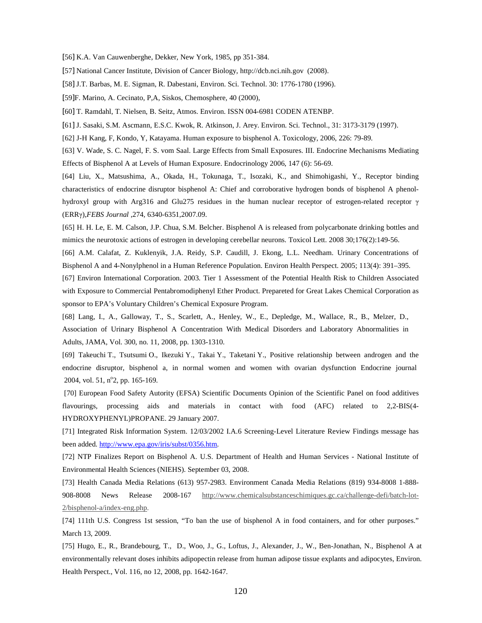[56] K.A. Van Cauwenberghe, Dekker, New York, 1985, pp 351-384.

[57] National Cancer Institute, Division of Cancer Biology, http://dcb.nci.nih.gov (2008).

[58] J.T. Barbas, M. E. Sigman, R. Dabestani, Environ. Sci. Technol. 30: 1776-1780 (1996).

[59]F. Marino, A. Cecinato, P,A, Siskos, Chemosphere, 40 (2000),

[60] T. Ramdahl, T. Nielsen, B. Seitz, Atmos. Environ. ISSN 004-6981 CODEN ATENBP.

[61] J. Sasaki, S.M. Ascmann, E.S.C. Kwok, R. Atkinson, J. Arey. Environ. Sci. Technol., 31: 3173-3179 (1997).

[62] J-H Kang, F, Kondo, Y, Katayama. Human exposure to bisphenol A. Toxicology, 2006, 226: 79-89.

[63] V. Wade, S. C. Nagel, F. S. vom Saal. Large Effects from Small Exposures. III. Endocrine Mechanisms Mediating Effects of Bisphenol A at Levels of Human Exposure. Endocrinology 2006, 147 (6): 56-69.

[64] Liu, X., Matsushima, A., Okada, H., Tokunaga, T., Isozaki, K., and Shimohigashi, Y., Receptor binding characteristics of endocrine disruptor bisphenol A: Chief and corroborative hydrogen bonds of bisphenol A phenolhydroxyl group with Arg316 and Glu275 residues in the human nuclear receptor of estrogen-related receptor γ (ERRγ),*FEBS Journal* ,274, 6340-6351,2007.09.

[65] H. H. Le, E. M. Calson, J.P. Chua, S.M. Belcher. Bisphenol A is released from polycarbonate drinking bottles and mimics the neurotoxic actions of estrogen in developing cerebellar neurons. Toxicol Lett. 2008 30;176(2):149-56.

[66] A.M. Calafat, Z. Kuklenyik, J.A. Reidy, S.P. Caudill, J. Ekong, L.L. Needham. Urinary Concentrations of Bisphenol A and 4-Nonylphenol in a Human Reference Population. Environ Health Perspect. 2005; 113(4): 391–395.

[67] Environ International Corporation. 2003. Tier 1 Assessment of the Potential Health Risk to Children Associated with Exposure to Commercial Pentabromodiphenyl Ether Product. Prepareted for Great Lakes Chemical Corporation as sponsor to EPA's Voluntary Children's Chemical Exposure Program.

[68] Lang, I., A., Galloway, T., S., Scarlett, A., Henley, W., E., Depledge, M., Wallace, R., B., Melzer, D., Association of Urinary Bisphenol A Concentration With Medical Disorders and Laboratory Abnormalities in Adults, JAMA, Vol. 300, no. 11, 2008, pp. 1303-1310.

[69] Takeuchi T., Tsutsumi O., Ikezuki Y., Takai Y., Taketani Y., Positive relationship between androgen and the endocrine disruptor, bisphenol a, in normal women and women with ovarian dysfunction Endocrine journal 2004, vol. 51, n°2, pp. 165-169.

 [70] European Food Safety Autority (EFSA) Scientific Documents Opinion of the Scientific Panel on food additives flavourings, processing aids and materials in contact with food (AFC) related to 2,2-BIS(4- HYDROXYPHENYL)PROPANE. 29 January 2007.

[71] Integrated Risk Information System. 12/03/2002 I.A.6 Screening-Level Literature Review Findings message has been added. http://www.epa.gov/iris/subst/0356.htm.

[72] NTP Finalizes Report on Bisphenol A. U.S. Department of Health and Human Services - National Institute of Environmental Health Sciences (NIEHS). September 03, 2008.

[73] Health Canada Media Relations (613) 957-2983. Environment Canada Media Relations (819) 934-8008 1-888- 908-8008 News Release 2008-167 http://www.chemicalsubstanceschimiques.gc.ca/challenge-defi/batch-lot-2/bisphenol-a/index-eng.php.

[74] 111th U.S. Congress 1st session, "To ban the use of bisphenol A in food containers, and for other purposes." March 13, 2009.

[75] Hugo, E., R., Brandebourg, T., D., Woo, J., G., Loftus, J., Alexander, J., W., Ben-Jonathan, N., Bisphenol A at environmentally relevant doses inhibits adipopectin release from human adipose tissue explants and adipocytes, Environ. Health Perspect., Vol. 116, no 12, 2008, pp. 1642-1647.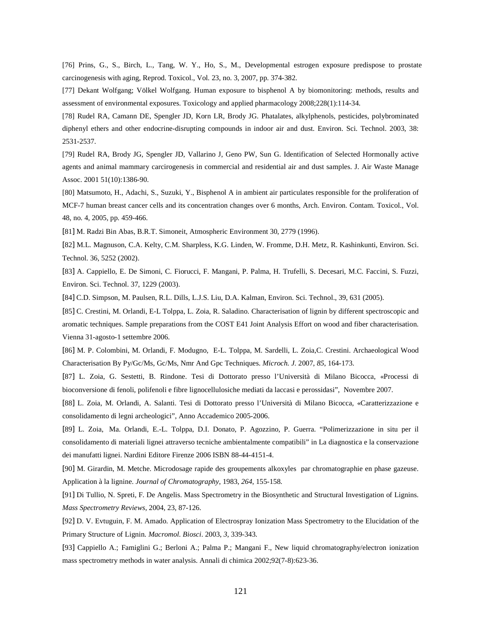[76] Prins, G., S., Birch, L., Tang, W. Y., Ho, S., M., Developmental estrogen exposure predispose to prostate carcinogenesis with aging, Reprod. Toxicol., Vol. 23, no. 3, 2007, pp. 374-382.

[77] Dekant Wolfgang; Völkel Wolfgang. Human exposure to bisphenol A by biomonitoring: methods, results and assessment of environmental exposures. Toxicology and applied pharmacology 2008;228(1):114-34.

[78] Rudel RA, Camann DE, Spengler JD, Korn LR, Brody JG. Phatalates, alkylphenols, pesticides, polybrominated diphenyl ethers and other endocrine-disrupting compounds in indoor air and dust. Environ. Sci. Technol. 2003, 38: 2531-2537.

[79] Rudel RA, Brody JG, Spengler JD, Vallarino J, Geno PW, Sun G. Identification of Selected Hormonally active agents and animal mammary carcirogenesis in commercial and residential air and dust samples. J. Air Waste Manage Assoc. 2001 51(10):1386-90.

[80] Matsumoto, H., Adachi, S., Suzuki, Y., Bisphenol A in ambient air particulates responsible for the proliferation of MCF-7 human breast cancer cells and its concentration changes over 6 months, Arch. Environ. Contam. Toxicol., Vol. 48, no. 4, 2005, pp. 459-466.

[81] M. Radzi Bin Abas, B.R.T. Simoneit, Atmospheric Environment 30, 2779 (1996).

[82] M.L. Magnuson, C.A. Kelty, C.M. Sharpless, K.G. Linden, W. Fromme, D.H. Metz, R. Kashinkunti, Environ. Sci. Technol. 36, 5252 (2002).

[83] A. Cappiello, E. De Simoni, C. Fiorucci, F. Mangani, P. Palma, H. Trufelli, S. Decesari, M.C. Faccini, S. Fuzzi, Environ. Sci. Technol. 37, 1229 (2003).

[84] C.D. Simpson, M. Paulsen, R.L. Dills, L.J.S. Liu, D.A. Kalman, Environ. Sci. Technol., 39, 631 (2005).

[85] C. Crestini, M. Orlandi, E-L Tolppa, L. Zoia, R. Saladino. Characterisation of lignin by different spectroscopic and aromatic techniques. Sample preparations from the COST E41 Joint Analysis Effort on wood and fiber characterisation. Vienna 31-agosto-1 settembre 2006.

[86] M. P. Colombini, M. Orlandi, F. Modugno, E-L. Tolppa, M. Sardelli, L. Zoia,C. Crestini. Archaeological Wood Characterisation By Py/Gc/Ms, Gc/Ms, Nmr And Gpc Techniques. *Microch. J.* 2007, *85*, 164-173.

[87] L. Zoia, G. Sestetti, B. Rindone. Tesi di Dottorato presso l'Università di Milano Bicocca, «Processi di bioconversione di fenoli, polifenoli e fibre lignocellulosiche mediati da laccasi e perossidasi", Novembre 2007.

[88] L. Zoia, M. Orlandi, A. Salanti. Tesi di Dottorato presso l'Università di Milano Bicocca, «Caratterizzazione e consolidamento di legni archeologici", Anno Accademico 2005-2006.

[89] L. Zoia, Ma. Orlandi, E.-L. Tolppa, D.I. Donato, P. Agozzino, P. Guerra. "Polimerizzazione in situ per il consolidamento di materiali lignei attraverso tecniche ambientalmente compatibili" in La diagnostica e la conservazione dei manufatti lignei. Nardini Editore Firenze 2006 ISBN 88-44-4151-4.

[90] M. Girardin, M. Metche. Microdosage rapide des groupements alkoxyles par chromatographie en phase gazeuse. Application à la lignine. *Journal of Chromatography*, 1983, *264*, 155-158.

[91] Di Tullio, N. Spreti, F. De Angelis. Mass Spectrometry in the Biosynthetic and Structural Investigation of Lignins. *Mass Spectrometry Reviews*, 2004, 23, 87-126.

[92] D. V. Evtuguin, F. M. Amado. Application of Electrospray Ionization Mass Spectrometry to the Elucidation of the Primary Structure of Lignin. *Macromol. Biosci*. 2003, *3*, 339-343.

[93] Cappiello A.; Famiglini G.; Berloni A.; Palma P.; Mangani F., New liquid chromatography/electron ionization mass spectrometry methods in water analysis. Annali di chimica 2002;92(7-8):623-36.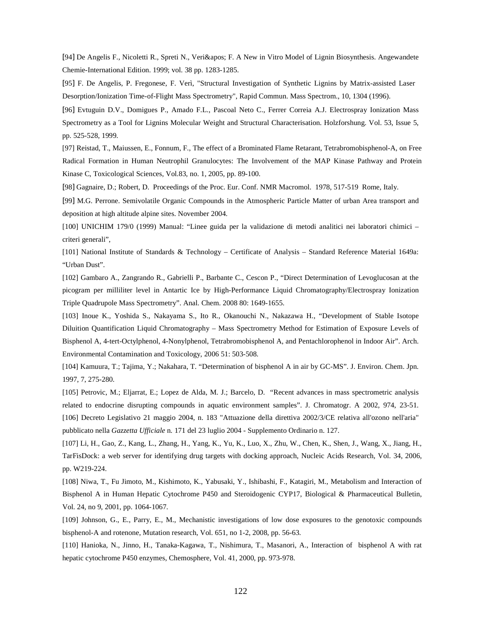[94] De Angelis F., Nicoletti R., Spreti N., Veri' F. A New in Vitro Model of Lignin Biosynthesis. Angewandete Chemie-International Edition. 1999; vol. 38 pp. 1283-1285.

[95] F. De Angelis, P. Fregonese, F. Verì, "Structural Investigation of Synthetic Lignins by Matrix-assisted Laser Desorption/Ionization Time-of-Flight Mass Spectrometry", Rapid Commun. Mass Spectrom., 10, 1304 (1996).

[96] Evtuguin D.V., Domigues P., Amado F.L., Pascoal Neto C., Ferrer Correia A.J. Electrospray Ionization Mass Spectrometry as a Tool for Lignins Molecular Weight and Structural Characterisation. Holzforshung. Vol. 53, Issue 5, pp. 525-528, 1999.

[97] Reistad, T., Maiussen, E., Fonnum, F., The effect of a Brominated Flame Retarant, Tetrabromobisphenol-A, on Free Radical Formation in Human Neutrophil Granulocytes: The Involvement of the MAP Kinase Pathway and Protein Kinase C, Toxicological Sciences, Vol.83, no. 1, 2005, pp. 89-100.

[98] Gagnaire, D.; Robert, D. Proceedings of the Proc. Eur. Conf. NMR Macromol. 1978, 517-519 Rome, Italy.

[99] M.G. Perrone. Semivolatile Organic Compounds in the Atmospheric Particle Matter of urban Area transport and deposition at high altitude alpine sites. November 2004.

[100] UNICHIM 179/0 (1999) Manual: "Linee guida per la validazione di metodi analitici nei laboratori chimici – criteri generali",

[101] National Institute of Standards & Technology – Certificate of Analysis – Standard Reference Material 1649a: "Urban Dust".

[102] Gambaro A., Zangrando R., Gabrielli P., Barbante C., Cescon P., "Direct Determination of Levoglucosan at the picogram per milliliter level in Antartic Ice by High-Performance Liquid Chromatography/Electrospray Ionization Triple Quadrupole Mass Spectrometry". Anal. Chem. 2008 80: 1649-1655.

[103] Inoue K., Yoshida S., Nakayama S., Ito R., Okanouchi N., Nakazawa H., "Development of Stable Isotope Diluition Quantification Liquid Chromatography – Mass Spectrometry Method for Estimation of Exposure Levels of Bisphenol A, 4-tert-Octylphenol, 4-Nonylphenol, Tetrabromobisphenol A, and Pentachlorophenol in Indoor Air". Arch. Environmental Contamination and Toxicology, 2006 51: 503-508.

[104] Kamuura, T.; Tajima, Y.; Nakahara, T. "Determination of bisphenol A in air by GC-MS". J. Environ. Chem. Jpn. 1997, 7, 275-280.

[105] Petrovic, M.; Eljarrat, E.; Lopez de Alda, M. J.; Barcelo, D. "Recent advances in mass spectrometric analysis related to endocrine disrupting compounds in aquatic environment samples". J. Chromatogr. A 2002, 974, 23-51. [106] Decreto Legislativo 21 maggio 2004, n. 183 "Attuazione della direttiva 2002/3/CE relativa all'ozono nell'aria" pubblicato nella *Gazzetta Ufficiale* n. 171 del 23 luglio 2004 - Supplemento Ordinario n. 127.

[107] Li, H., Gao, Z., Kang, L., Zhang, H., Yang, K., Yu, K., Luo, X., Zhu, W., Chen, K., Shen, J., Wang, X., Jiang, H., TarFisDock: a web server for identifying drug targets with docking approach, Nucleic Acids Research, Vol. 34, 2006, pp. W219-224.

[108] Niwa, T., Fu Jimoto, M., Kishimoto, K., Yabusaki, Y., Ishibashi, F., Katagiri, M., Metabolism and Interaction of Bisphenol A in Human Hepatic Cytochrome P450 and Steroidogenic CYP17, Biological & Pharmaceutical Bulletin, Vol. 24, no 9, 2001, pp. 1064-1067.

[109] Johnson, G., E., Parry, E., M., Mechanistic investigations of low dose exposures to the genotoxic compounds bisphenol-A and rotenone, Mutation research, Vol. 651, no 1-2, 2008, pp. 56-63.

[110] Hanioka, N., Jinno, H., Tanaka-Kagawa, T., Nishimura, T., Masanori, A., Interaction of bisphenol A with rat hepatic cytochrome P450 enzymes, Chemosphere, Vol. 41, 2000, pp. 973-978.